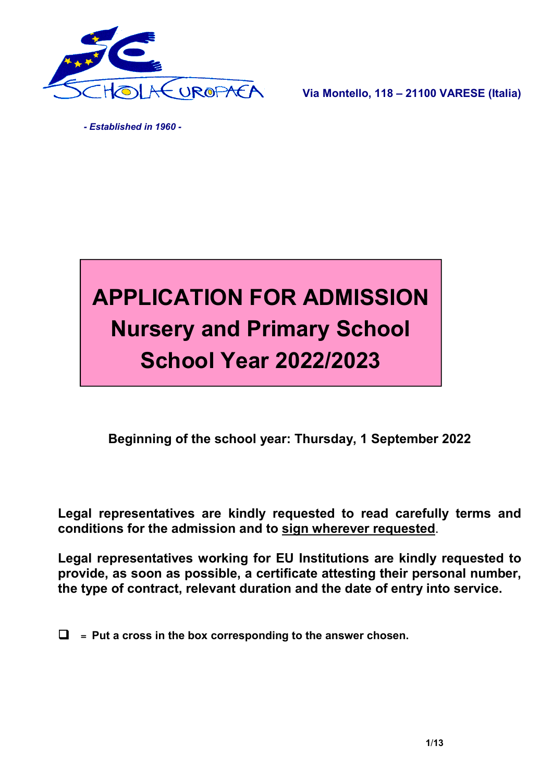

Via Montello, 118 – 21100 VARESE (Italia)

 *- Established in 1960 -*



Beginning of the school year: Thursday, 1 September 2022

Legal representatives are kindly requested to read carefully terms and conditions for the admission and to sign wherever requested.

Legal representatives working for EU Institutions are kindly requested to provide, as soon as possible, a certificate attesting their personal number, the type of contract, relevant duration and the date of entry into service.

 $\Box$  = Put a cross in the box corresponding to the answer chosen.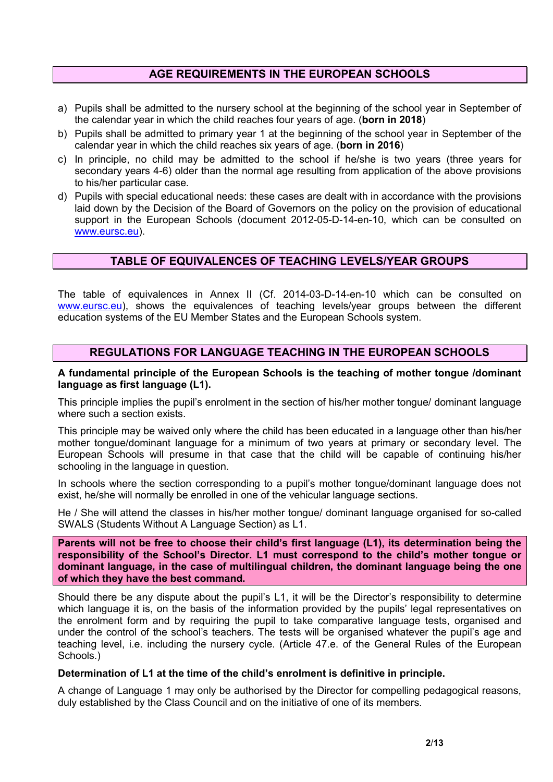## AGE REQUIREMENTS IN THE EUROPEAN SCHOOLS

- a) Pupils shall be admitted to the nursery school at the beginning of the school year in September of the calendar year in which the child reaches four years of age. (born in 2018)
- b) Pupils shall be admitted to primary year 1 at the beginning of the school year in September of the calendar year in which the child reaches six years of age. (born in 2016)
- c) In principle, no child may be admitted to the school if he/she is two years (three years for secondary years 4-6) older than the normal age resulting from application of the above provisions to his/her particular case.
- d) Pupils with special educational needs: these cases are dealt with in accordance with the provisions laid down by the Decision of the Board of Governors on the policy on the provision of educational support in the European Schools (document 2012-05-D-14-en-10, which can be consulted on www.eursc.eu).

## TABLE OF EQUIVALENCES OF TEACHING LEVELS/YEAR GROUPS

The table of equivalences in Annex II (Cf. 2014-03-D-14-en-10 which can be consulted on www.eursc.eu), shows the equivalences of teaching levels/year groups between the different education systems of the EU Member States and the European Schools system.

## REGULATIONS FOR LANGUAGE TEACHING IN THE EUROPEAN SCHOOLS

#### A fundamental principle of the European Schools is the teaching of mother tongue /dominant language as first language (L1).

This principle implies the pupil's enrolment in the section of his/her mother tongue/ dominant language where such a section exists.

This principle may be waived only where the child has been educated in a language other than his/her mother tongue/dominant language for a minimum of two years at primary or secondary level. The European Schools will presume in that case that the child will be capable of continuing his/her schooling in the language in question.

In schools where the section corresponding to a pupil's mother tongue/dominant language does not exist, he/she will normally be enrolled in one of the vehicular language sections.

He / She will attend the classes in his/her mother tongue/ dominant language organised for so-called SWALS (Students Without A Language Section) as L1.

Parents will not be free to choose their child's first language (L1), its determination being the responsibility of the School's Director. L1 must correspond to the child's mother tongue or dominant language, in the case of multilingual children, the dominant language being the one of which they have the best command.

Should there be any dispute about the pupil's L1, it will be the Director's responsibility to determine which language it is, on the basis of the information provided by the pupils' legal representatives on the enrolment form and by requiring the pupil to take comparative language tests, organised and under the control of the school's teachers. The tests will be organised whatever the pupil's age and teaching level, i.e. including the nursery cycle. (Article 47.e. of the General Rules of the European Schools.)

#### Determination of L1 at the time of the child's enrolment is definitive in principle.

A change of Language 1 may only be authorised by the Director for compelling pedagogical reasons, duly established by the Class Council and on the initiative of one of its members.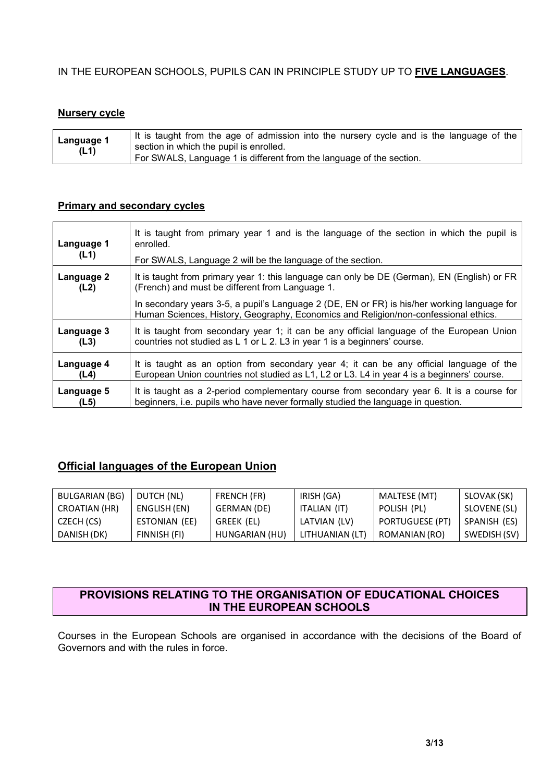## IN THE EUROPEAN SCHOOLS, PUPILS CAN IN PRINCIPLE STUDY UP TO FIVE LANGUAGES.

## Nursery cycle

|  | Language 1<br>section in which the pupil is enrolled.<br>(L1)<br>For SWALS, Language 1 is different from the language of the section. | It is taught from the age of admission into the nursery cycle and is the language of the |
|--|---------------------------------------------------------------------------------------------------------------------------------------|------------------------------------------------------------------------------------------|
|--|---------------------------------------------------------------------------------------------------------------------------------------|------------------------------------------------------------------------------------------|

#### Primary and secondary cycles

| Language 1<br>(L1) | It is taught from primary year 1 and is the language of the section in which the pupil is<br>enrolled.<br>For SWALS, Language 2 will be the language of the section.               |
|--------------------|------------------------------------------------------------------------------------------------------------------------------------------------------------------------------------|
| Language 2         | It is taught from primary year 1: this language can only be DE (German), EN (English) or FR                                                                                        |
| (L2)               | (French) and must be different from Language 1.                                                                                                                                    |
|                    | In secondary years 3-5, a pupil's Language 2 (DE, EN or FR) is his/her working language for<br>Human Sciences, History, Geography, Economics and Religion/non-confessional ethics. |
| Language 3         | It is taught from secondary year 1; it can be any official language of the European Union                                                                                          |
| (L3)               | countries not studied as L 1 or L 2. L3 in year 1 is a beginners' course.                                                                                                          |
| Language 4         | It is taught as an option from secondary year 4; it can be any official language of the                                                                                            |
| (L4)               | European Union countries not studied as L1, L2 or L3. L4 in year 4 is a beginners' course.                                                                                         |
| Language 5         | It is taught as a 2-period complementary course from secondary year 6. It is a course for                                                                                          |
| (L5)               | beginners, i.e. pupils who have never formally studied the language in question.                                                                                                   |

# Official languages of the European Union

| <b>BULGARIAN (BG)</b> | DUTCH (NL)    | FRENCH (FR)    | IRISH (GA)      | MALTESE (MT)           | SLOVAK (SK)  |
|-----------------------|---------------|----------------|-----------------|------------------------|--------------|
| CROATIAN (HR)         | ENGLISH (EN)  | GERMAN (DE)    | ITALIAN (IT)    | POLISH (PL)            | SLOVENE (SL) |
| CZECH (CS)            | ESTONIAN (EE) | GREEK (EL)     | LATVIAN (LV)    | <b>PORTUGUESE (PT)</b> | SPANISH (ES) |
| DANISH (DK)           | FINNISH (FI)  | HUNGARIAN (HU) | LITHUANIAN (LT) | ROMANIAN (RO)          | SWEDISH (SV) |

## PROVISIONS RELATING TO THE ORGANISATION OF EDUCATIONAL CHOICES IN THE EUROPEAN SCHOOLS

Courses in the European Schools are organised in accordance with the decisions of the Board of Governors and with the rules in force.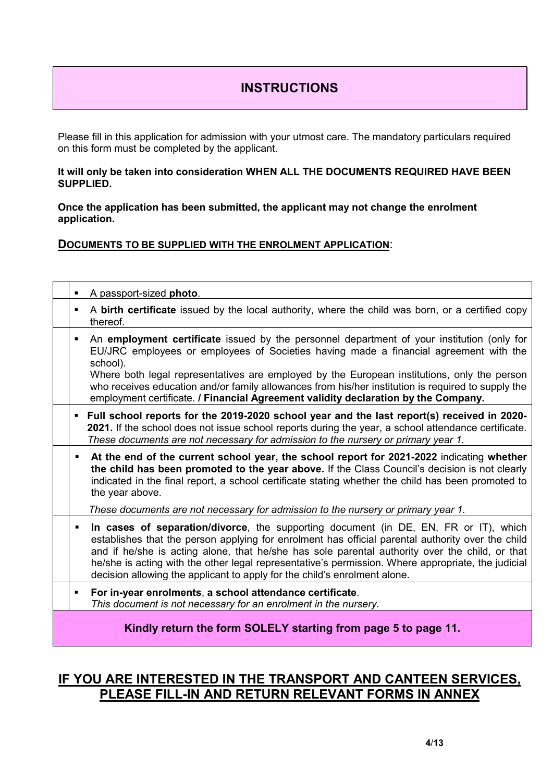# **INSTRUCTIONS**

Please fill in this application for admission with your utmost care. The mandatory particulars required on this form must be completed by the applicant.

#### It will only be taken into consideration WHEN ALL THE DOCUMENTS REQUIRED HAVE BEEN SUPPLIED.

Once the application has been submitted, the applicant may not change the enrolment application.

#### DOCUMENTS TO BE SUPPLIED WITH THE ENROLMENT APPLICATION:

| A passport-sized photo. |                                                                                                                                                                                                                                                                                                                                                                                                                                                                                |
|-------------------------|--------------------------------------------------------------------------------------------------------------------------------------------------------------------------------------------------------------------------------------------------------------------------------------------------------------------------------------------------------------------------------------------------------------------------------------------------------------------------------|
| thereof.                | A birth certificate issued by the local authority, where the child was born, or a certified copy                                                                                                                                                                                                                                                                                                                                                                               |
| school).                | An employment certificate issued by the personnel department of your institution (only for<br>EU/JRC employees or employees of Societies having made a financial agreement with the<br>Where both legal representatives are employed by the European institutions, only the person<br>who receives education and/or family allowances from his/her institution is required to supply the<br>employment certificate. / Financial Agreement validity declaration by the Company. |
|                         | Full school reports for the 2019-2020 school year and the last report(s) received in 2020-<br>2021. If the school does not issue school reports during the year, a school attendance certificate.<br>These documents are not necessary for admission to the nursery or primary year 1.                                                                                                                                                                                         |
| ٠<br>the year above.    | At the end of the current school year, the school report for 2021-2022 indicating whether<br>the child has been promoted to the year above. If the Class Council's decision is not clearly<br>indicated in the final report, a school certificate stating whether the child has been promoted to                                                                                                                                                                               |
|                         | These documents are not necessary for admission to the nursery or primary year 1.                                                                                                                                                                                                                                                                                                                                                                                              |
| $\blacksquare$          | In cases of separation/divorce, the supporting document (in DE, EN, FR or IT), which<br>establishes that the person applying for enrolment has official parental authority over the child<br>and if he/she is acting alone, that he/she has sole parental authority over the child, or that<br>he/she is acting with the other legal representative's permission. Where appropriate, the judicial<br>decision allowing the applicant to apply for the child's enrolment alone. |
| ٠                       | For in-year enrolments, a school attendance certificate.<br>This document is not necessary for an enrolment in the nursery.                                                                                                                                                                                                                                                                                                                                                    |
|                         | Kindly return the form SOLELY starting from page 5 to page 11.                                                                                                                                                                                                                                                                                                                                                                                                                 |

# IF YOU ARE INTERESTED IN THE TRANSPORT AND CANTEEN SERVICES, PLEASE FILL-IN AND RETURN RELEVANT FORMS IN ANNEX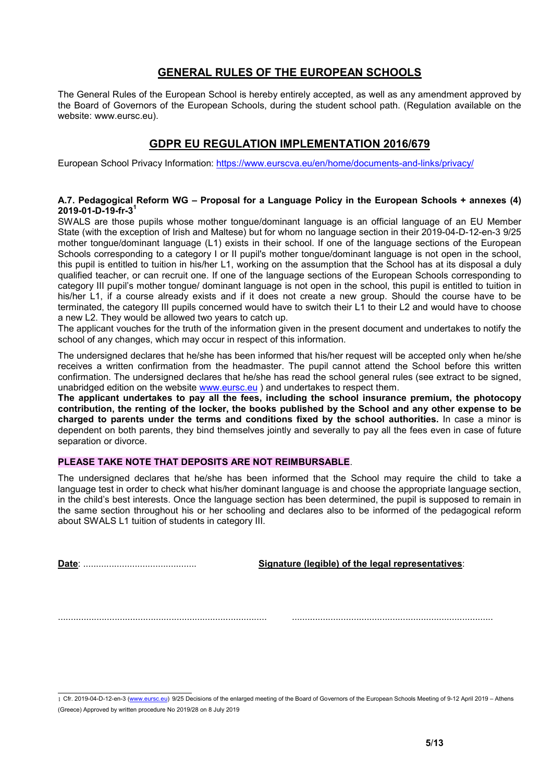## GENERAL RULES OF THE EUROPEAN SCHOOLS

The General Rules of the European School is hereby entirely accepted, as well as any amendment approved by the Board of Governors of the European Schools, during the student school path. (Regulation available on the website: www.eursc.eu).

# GDPR EU REGULATION IMPLEMENTATION 2016/679

European School Privacy Information: https://www.eurscva.eu/en/home/documents-and-links/privacy/

#### A.7. Pedagogical Reform WG – Proposal for a Language Policy in the European Schools + annexes (4)  $2019 - 01 - D - 19 - fr - 3<sup>1</sup>$

SWALS are those pupils whose mother tongue/dominant language is an official language of an EU Member State (with the exception of Irish and Maltese) but for whom no language section in their 2019-04-D-12-en-3 9/25 mother tongue/dominant language (L1) exists in their school. If one of the language sections of the European Schools corresponding to a category I or II pupil's mother tongue/dominant language is not open in the school, this pupil is entitled to tuition in his/her L1, working on the assumption that the School has at its disposal a duly qualified teacher, or can recruit one. If one of the language sections of the European Schools corresponding to category III pupil's mother tongue/ dominant language is not open in the school, this pupil is entitled to tuition in his/her L1, if a course already exists and if it does not create a new group. Should the course have to be terminated, the category III pupils concerned would have to switch their L1 to their L2 and would have to choose a new L2. They would be allowed two years to catch up.

The applicant vouches for the truth of the information given in the present document and undertakes to notify the school of any changes, which may occur in respect of this information.

The undersigned declares that he/she has been informed that his/her request will be accepted only when he/she receives a written confirmation from the headmaster. The pupil cannot attend the School before this written confirmation. The undersigned declares that he/she has read the school general rules (see extract to be signed, unabridged edition on the website www.eursc.eu ) and undertakes to respect them.

The applicant undertakes to pay all the fees, including the school insurance premium, the photocopy contribution, the renting of the locker, the books published by the School and any other expense to be charged to parents under the terms and conditions fixed by the school authorities. In case a minor is dependent on both parents, they bind themselves jointly and severally to pay all the fees even in case of future separation or divorce.

#### PLEASE TAKE NOTE THAT DEPOSITS ARE NOT REIMBURSABLE.

The undersigned declares that he/she has been informed that the School may require the child to take a language test in order to check what his/her dominant language is and choose the appropriate language section, in the child's best interests. Once the language section has been determined, the pupil is supposed to remain in the same section throughout his or her schooling and declares also to be informed of the pedagogical reform about SWALS L1 tuition of students in category III.

Date: ............................................ Signature (legible) of the legal representatives:

................................................................................. ..............................................................................

 <sup>1</sup> Cfr. 2019-04-D-12-en-3 (www.eursc.eu) 9/25 Decisions of the enlarged meeting of the Board of Governors of the European Schools Meeting of 9-12 April 2019 – Athens (Greece) Approved by written procedure No 2019/28 on 8 July 2019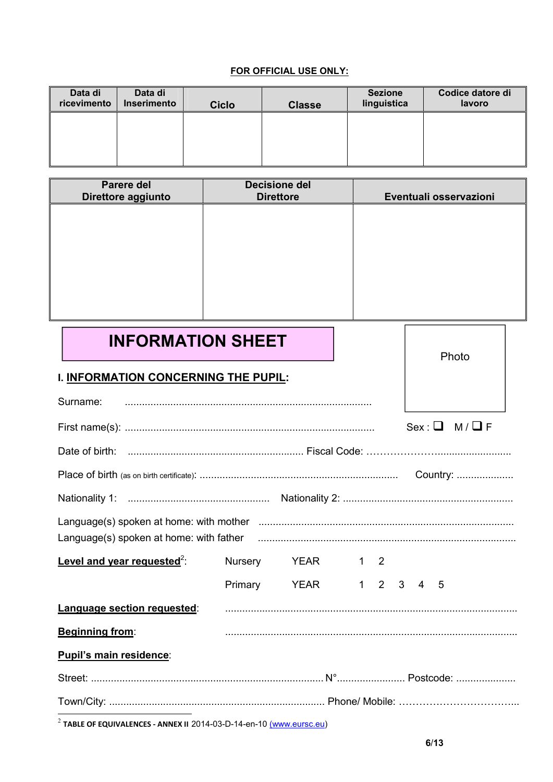#### FOR OFFICIAL USE ONLY:

| Data di<br>ricevimento | Data di<br>Inserimento | <b>Ciclo</b> | <b>Classe</b> | <b>Sezione</b><br>linguistica | Codice datore di<br>lavoro |
|------------------------|------------------------|--------------|---------------|-------------------------------|----------------------------|
|                        |                        |              |               |                               |                            |
|                        |                        |              |               |                               |                            |

| Parere del<br>Direttore aggiunto | <b>Decisione del</b><br><b>Direttore</b> | Eventuali osservazioni |
|----------------------------------|------------------------------------------|------------------------|
|                                  |                                          |                        |
|                                  |                                          |                        |
|                                  |                                          |                        |
|                                  |                                          |                        |
|                                  |                                          |                        |

|                                      |  |  |                  |  | Photo                                                                                                                                    |
|--------------------------------------|--|--|------------------|--|------------------------------------------------------------------------------------------------------------------------------------------|
| I. INFORMATION CONCERNING THE PUPIL: |  |  |                  |  |                                                                                                                                          |
|                                      |  |  |                  |  |                                                                                                                                          |
|                                      |  |  |                  |  | $Sex: \Box \quad M/\Box F$                                                                                                               |
|                                      |  |  |                  |  |                                                                                                                                          |
|                                      |  |  |                  |  |                                                                                                                                          |
|                                      |  |  |                  |  |                                                                                                                                          |
|                                      |  |  |                  |  |                                                                                                                                          |
|                                      |  |  |                  |  |                                                                                                                                          |
|                                      |  |  |                  |  |                                                                                                                                          |
|                                      |  |  |                  |  |                                                                                                                                          |
|                                      |  |  |                  |  |                                                                                                                                          |
|                                      |  |  |                  |  |                                                                                                                                          |
|                                      |  |  |                  |  |                                                                                                                                          |
|                                      |  |  |                  |  |                                                                                                                                          |
|                                      |  |  | Nursery YEAR 1 2 |  | Language(s) spoken at home: with father mature and the content of the content of the content of the content of<br>Primary YEAR 1 2 3 4 5 |

 $2$  TABLE OF EQUIVALENCES - ANNEX II 2014-03-D-14-en-10  $(www.eursc.eu)$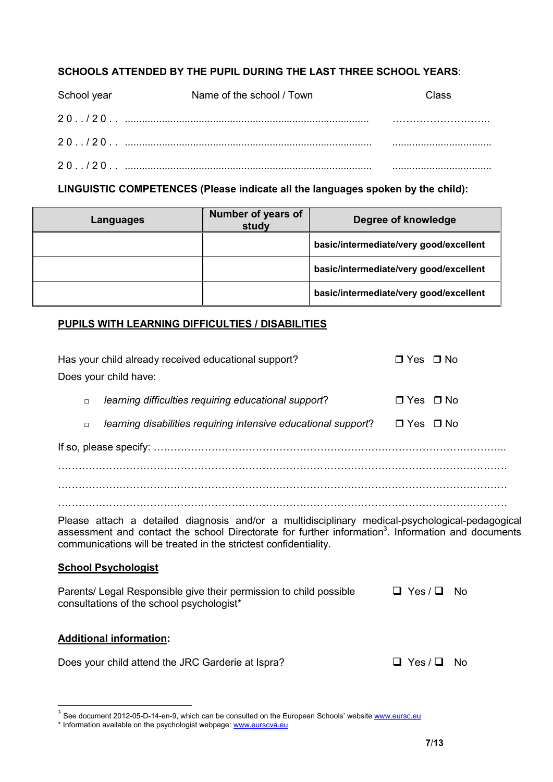# SCHOOLS ATTENDED BY THE PUPIL DURING THE LAST THREE SCHOOL YEARS:

| School year | Name of the school / Town | Class |
|-------------|---------------------------|-------|
|             |                           |       |
|             |                           |       |
|             |                           |       |

LINGUISTIC COMPETENCES (Please indicate all the languages spoken by the child):

| Languages | Number of years of<br>study | Degree of knowledge                    |
|-----------|-----------------------------|----------------------------------------|
|           |                             | basic/intermediate/very good/excellent |
|           |                             | basic/intermediate/very good/excellent |
|           |                             | basic/intermediate/very good/excellent |

## PUPILS WITH LEARNING DIFFICULTIES / DISABILITIES

| Has your child already received educational support?<br>Does your child have:                                                                                                                                                                                                         | $\Box$ Yes $\Box$ No       |  |  |  |
|---------------------------------------------------------------------------------------------------------------------------------------------------------------------------------------------------------------------------------------------------------------------------------------|----------------------------|--|--|--|
|                                                                                                                                                                                                                                                                                       |                            |  |  |  |
| learning difficulties requiring educational support?<br>$\Box$                                                                                                                                                                                                                        | ∩Yes ∩No                   |  |  |  |
| learning disabilities requiring intensive educational support?<br>$\Box$                                                                                                                                                                                                              | □ Yes □ No                 |  |  |  |
|                                                                                                                                                                                                                                                                                       |                            |  |  |  |
|                                                                                                                                                                                                                                                                                       |                            |  |  |  |
|                                                                                                                                                                                                                                                                                       |                            |  |  |  |
|                                                                                                                                                                                                                                                                                       |                            |  |  |  |
| Please attach a detailed diagnosis and/or a multidisciplinary medical-psychological-pedagogical<br>assessment and contact the school Directorate for further information <sup>3</sup> . Information and documents<br>communications will be treated in the strictest confidentiality. |                            |  |  |  |
| <b>School Psychologist</b>                                                                                                                                                                                                                                                            |                            |  |  |  |
| Parents/ Legal Responsible give their permission to child possible<br>consultations of the school psychologist*                                                                                                                                                                       | $\Box$ Yes / $\Box$<br>No. |  |  |  |
| <b>Additional information:</b>                                                                                                                                                                                                                                                        |                            |  |  |  |
| Does your child attend the JRC Garderie at Ispra?                                                                                                                                                                                                                                     | $\Box$ Yes / $\Box$<br>No. |  |  |  |

 $3$  See document 2012-05-D-14-en-9, which can be consulted on the European Schools' website  $\underline{\text{www.eursc.eu}}$ 

<sup>\*</sup> Information available on the psychologist webpage: www.eurscva.eu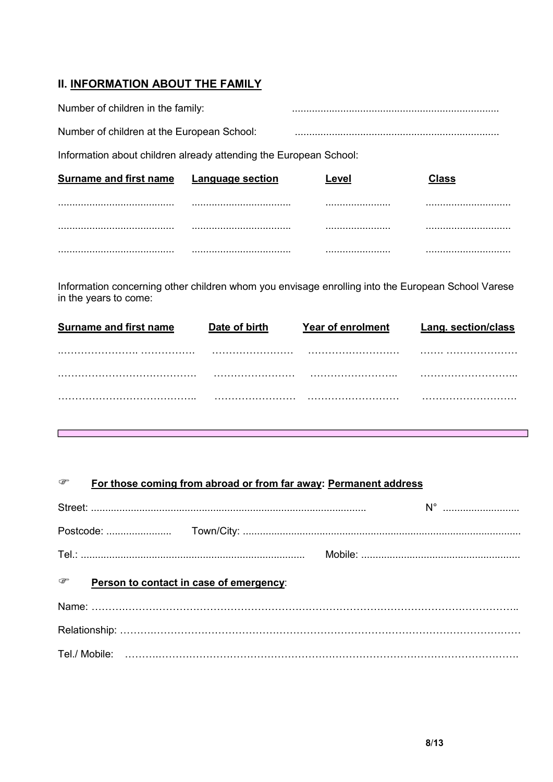# **II. INFORMATION ABOUT THE FAMILY**

Г

| Number of children in the family:                                 |                  |       |       |
|-------------------------------------------------------------------|------------------|-------|-------|
| Number of children at the European School:                        |                  |       |       |
| Information about children already attending the European School: |                  |       |       |
| <b>Surname and first name</b>                                     | Language section | Level | Class |
|                                                                   |                  |       |       |
|                                                                   |                  |       |       |
|                                                                   |                  |       |       |

Information concerning other children whom you envisage enrolling into the European School Varese in the years to come:

| <b>Surname and first name</b> | Date of birth | <b>Year of enrolment</b> | <b>Lang. section/class</b> |
|-------------------------------|---------------|--------------------------|----------------------------|
|                               |               |                          |                            |
|                               |               |                          |                            |
|                               |               |                          |                            |
|                               |               |                          |                            |

| ☞ | For those coming from abroad or from far away: Permanent address |
|---|------------------------------------------------------------------|
|   |                                                                  |

| $\begin{picture}(20,20) \put(0,0){\line(1,0){150}} \put(0,0){\line(1,0){150}} \put(0,0){\line(1,0){150}} \put(0,0){\line(1,0){150}} \put(0,0){\line(1,0){150}} \put(0,0){\line(1,0){150}} \put(0,0){\line(1,0){150}} \put(0,0){\line(1,0){150}} \put(0,0){\line(1,0){150}} \put(0,0){\line(1,0){150}} \put(0,0){\line(1,0){150}} \put(0,0){\line(1$<br>Person to contact in case of emergency: |  |
|------------------------------------------------------------------------------------------------------------------------------------------------------------------------------------------------------------------------------------------------------------------------------------------------------------------------------------------------------------------------------------------------|--|
|                                                                                                                                                                                                                                                                                                                                                                                                |  |
|                                                                                                                                                                                                                                                                                                                                                                                                |  |
|                                                                                                                                                                                                                                                                                                                                                                                                |  |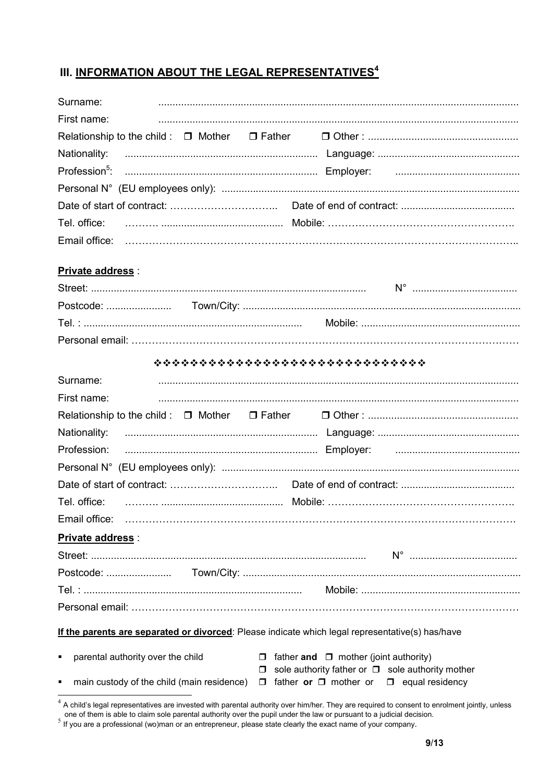# III. INFORMATION ABOUT THE LEGAL REPRESENTATIVES<sup>4</sup>

| Surname:    |  |  |  |
|-------------|--|--|--|
| First name: |  |  |  |
|             |  |  |  |
|             |  |  |  |
|             |  |  |  |
|             |  |  |  |
|             |  |  |  |
|             |  |  |  |
|             |  |  |  |

## **Private address:**

|                                                     | ******************************                                                                                       |
|-----------------------------------------------------|----------------------------------------------------------------------------------------------------------------------|
| Surname:                                            |                                                                                                                      |
| First name:                                         |                                                                                                                      |
|                                                     |                                                                                                                      |
| Nationality:                                        |                                                                                                                      |
| Profession:                                         |                                                                                                                      |
|                                                     |                                                                                                                      |
|                                                     |                                                                                                                      |
|                                                     |                                                                                                                      |
|                                                     |                                                                                                                      |
| Private address :                                   |                                                                                                                      |
|                                                     |                                                                                                                      |
|                                                     |                                                                                                                      |
|                                                     |                                                                                                                      |
|                                                     |                                                                                                                      |
|                                                     | If the parents are separated or divorced: Please indicate which legal representative(s) has/have                     |
| $\blacksquare$<br>parental authority over the child | $\Box$ father and $\Box$ mother (joint authority)<br>sole authority father or $\Box$ sole authority mother<br>$\Box$ |
| $\blacksquare$                                      | main custody of the child (main residence) $\Box$ father or $\Box$ mother or $\Box$ equal residency                  |

A child's legal representatives are invested with parental authority over him/her. They are required to consent to enrolment jointly, unless<br>one of them is able to claim sole parental authority over the pupil under the la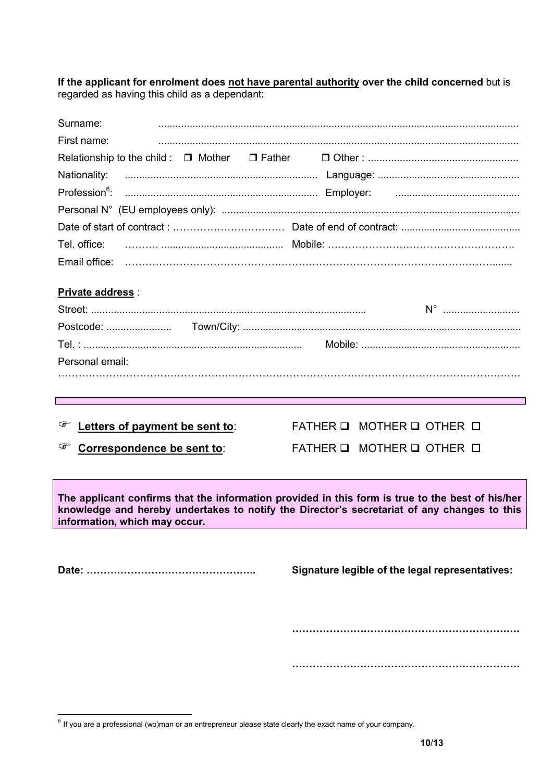If the applicant for enrolment does not have parental authority over the child concerned but is regarded as having this child as a dependant:

| Surname:                        |                                                                                                                                                                                                 |
|---------------------------------|-------------------------------------------------------------------------------------------------------------------------------------------------------------------------------------------------|
| First name:                     |                                                                                                                                                                                                 |
|                                 |                                                                                                                                                                                                 |
| Nationality:                    |                                                                                                                                                                                                 |
|                                 |                                                                                                                                                                                                 |
|                                 |                                                                                                                                                                                                 |
|                                 |                                                                                                                                                                                                 |
| Tel. office:                    |                                                                                                                                                                                                 |
| Email office:                   |                                                                                                                                                                                                 |
| <b>Private address:</b>         |                                                                                                                                                                                                 |
|                                 |                                                                                                                                                                                                 |
|                                 |                                                                                                                                                                                                 |
|                                 |                                                                                                                                                                                                 |
| Personal email:                 |                                                                                                                                                                                                 |
|                                 |                                                                                                                                                                                                 |
|                                 |                                                                                                                                                                                                 |
|                                 |                                                                                                                                                                                                 |
|                                 |                                                                                                                                                                                                 |
| Letters of payment be sent to:  | FATHER Q MOTHER Q OTHER D                                                                                                                                                                       |
| ☞<br>Correspondence be sent to: | FATHER Q MOTHER Q OTHER D                                                                                                                                                                       |
|                                 |                                                                                                                                                                                                 |
| information, which may occur.   | The applicant confirms that the information provided in this form is true to the best of his/her<br>knowledge and hereby undertakes to notify the Director's secretariat of any changes to this |
|                                 |                                                                                                                                                                                                 |
|                                 |                                                                                                                                                                                                 |
|                                 | Signature legible of the legal representatives:                                                                                                                                                 |
|                                 |                                                                                                                                                                                                 |
|                                 |                                                                                                                                                                                                 |
|                                 |                                                                                                                                                                                                 |
|                                 |                                                                                                                                                                                                 |

 $<sup>6</sup>$  If you are a professional (wo)man or an entrepreneur please state clearly the exact name of your company.</sup>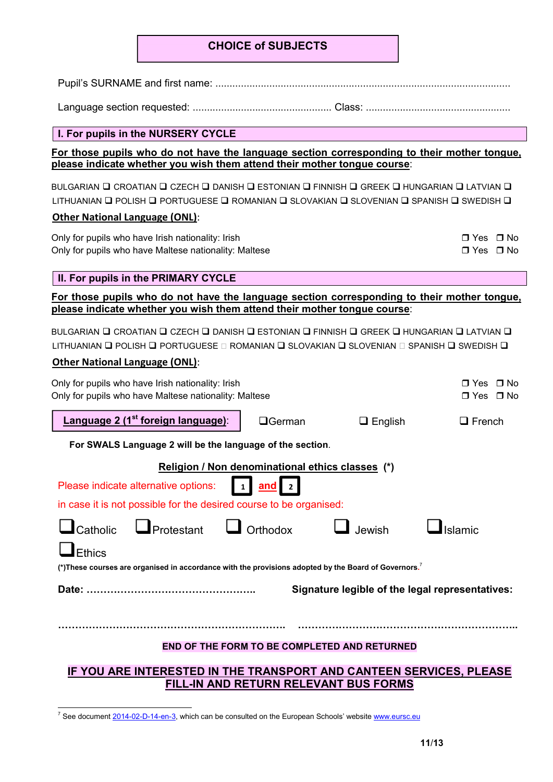## CHOICE of SUBJECTS

Pupil's SURNAME and first name: ........................................................................................................

Language section requested: ................................................. Class: ...................................................

#### I. For pupils in the NURSERY CYCLE

For those pupils who do not have the language section corresponding to their mother tongue, please indicate whether you wish them attend their mother tongue course:

BULGARIAN **Q** CROATIAN Q CZECH Q DANISH Q ESTONIAN Q FINNISH Q GREEK Q HUNGARIAN Q LATVIAN Q LITHUANIAN Q POLISH Q PORTUGUESE Q ROMANIAN Q SLOVAKIAN Q SLOVENIAN Q SPANISH Q SWEDISH Q

#### Other National Language (ONL):

Only for pupils who have Irish nationality: Irish Only for pupils who have Maltese nationality: Maltese

| $\Box$ Yes $\Box$ No |  |
|----------------------|--|
| □ Yes □ No           |  |

#### II. For pupils in the PRIMARY CYCLE

For those pupils who do not have the language section corresponding to their mother tongue, please indicate whether you wish them attend their mother tongue course:

BULGARIAN Q CROATIAN Q CZECH Q DANISH Q ESTONIAN Q FINNISH Q GREEK Q HUNGARIAN Q LATVIAN Q LITHUANIAN Q POLISH Q PORTUGUESE Q ROMANIAN Q SLOVAKIAN Q SLOVENIAN Q SPANISH Q SWEDISH Q

#### Other National Language (ONL):

| Only for pupils who have Irish nationality: Irish<br>Only for pupils who have Maltese nationality: Maltese        |                                                  |                | □ Yes □ No<br>□ Yes □ No |  |  |  |  |
|-------------------------------------------------------------------------------------------------------------------|--------------------------------------------------|----------------|--------------------------|--|--|--|--|
| Language 2 (1 <sup>st</sup> foreign language):                                                                    | $\Box$ German                                    | $\Box$ English | $\Box$ French            |  |  |  |  |
| For SWALS Language 2 will be the language of the section.                                                         |                                                  |                |                          |  |  |  |  |
|                                                                                                                   | Religion / Non denominational ethics classes (*) |                |                          |  |  |  |  |
| Please indicate alternative options:<br>$\vert 1 \vert$                                                           | <u>and</u><br>$\overline{2}$                     |                |                          |  |  |  |  |
| in case it is not possible for the desired course to be organised:                                                |                                                  |                |                          |  |  |  |  |
| $\Box$ Catholic $\Box$ Protestant $\Box$ Orthodox                                                                 |                                                  | $\Box$ Jewish  | Islamic                  |  |  |  |  |
| Ethics                                                                                                            |                                                  |                |                          |  |  |  |  |
| (*) These courses are organised in accordance with the provisions adopted by the Board of Governors. <sup>7</sup> |                                                  |                |                          |  |  |  |  |
| Signature legible of the legal representatives:                                                                   |                                                  |                |                          |  |  |  |  |
|                                                                                                                   |                                                  |                |                          |  |  |  |  |
|                                                                                                                   |                                                  |                |                          |  |  |  |  |
| END OF THE FORM TO BE COMPLETED AND RETURNED                                                                      |                                                  |                |                          |  |  |  |  |
| IF YOU ARE INTERESTED IN THE TRANSPORT AND CANTEEN SERVICES, PLEASE                                               |                                                  |                |                          |  |  |  |  |

FILL-IN AND RETURN RELEVANT BUS FORMS

<sup>&</sup>lt;sup>7</sup> See document 2014-02-D-14-en-3, which can be consulted on the European Schools' website www.eursc.eu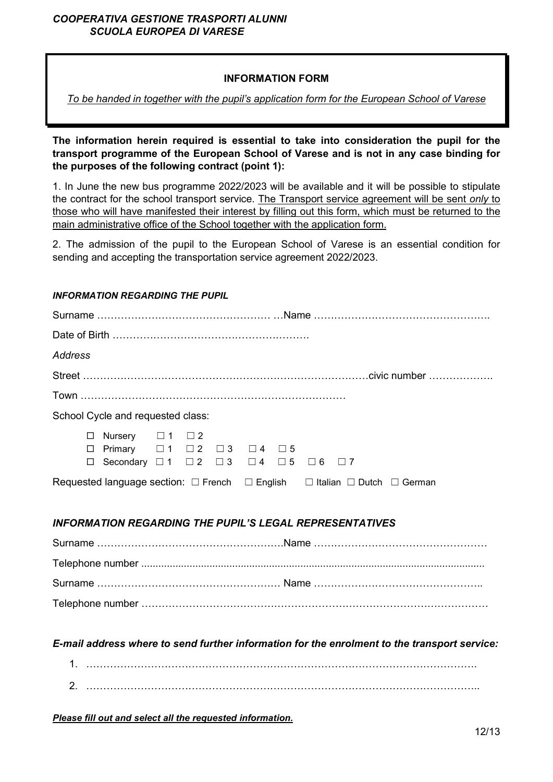## *COOPERATIVA GESTIONE TRASPORTI ALUNNI SCUOLA EUROPEA DI VARESE*

## INFORMATION FORM

*To be handed in together with the pupil's application form for the European School of Varese*

The information herein required is essential to take into consideration the pupil for the transport programme of the European School of Varese and is not in any case binding for the purposes of the following contract (point 1):

1. In June the new bus programme 2022/2023 will be available and it will be possible to stipulate the contract for the school transport service. The Transport service agreement will be sent *only* to those who will have manifested their interest by filling out this form, which must be returned to the main administrative office of the School together with the application form.

2. The admission of the pupil to the European School of Varese is an essential condition for sending and accepting the transportation service agreement 2022/2023.

#### *INFORMATION REGARDING THE PUPIL*

| Address |                                                                                                                                                                        |  |  |  |  |  |                                                                                                    |                                                                                              |
|---------|------------------------------------------------------------------------------------------------------------------------------------------------------------------------|--|--|--|--|--|----------------------------------------------------------------------------------------------------|----------------------------------------------------------------------------------------------|
|         |                                                                                                                                                                        |  |  |  |  |  |                                                                                                    |                                                                                              |
|         |                                                                                                                                                                        |  |  |  |  |  |                                                                                                    |                                                                                              |
|         | School Cycle and requested class:                                                                                                                                      |  |  |  |  |  |                                                                                                    |                                                                                              |
| $\Box$  | Nursery $\Box$ 1 $\Box$ 2<br>$\Box$ Primary $\Box$ 1 $\Box$ 2 $\Box$ 3 $\Box$ 4 $\Box$ 5<br>□ Secondary $\Box 1$ $\Box 2$ $\Box 3$ $\Box 4$ $\Box 5$ $\Box 6$ $\Box 7$ |  |  |  |  |  |                                                                                                    |                                                                                              |
|         |                                                                                                                                                                        |  |  |  |  |  | Requested language section: $\Box$ French $\Box$ English $\Box$ Italian $\Box$ Dutch $\Box$ German |                                                                                              |
|         |                                                                                                                                                                        |  |  |  |  |  |                                                                                                    |                                                                                              |
|         |                                                                                                                                                                        |  |  |  |  |  | <b>INFORMATION REGARDING THE PUPIL'S LEGAL REPRESENTATIVES</b>                                     |                                                                                              |
|         |                                                                                                                                                                        |  |  |  |  |  |                                                                                                    |                                                                                              |
|         |                                                                                                                                                                        |  |  |  |  |  |                                                                                                    |                                                                                              |
|         |                                                                                                                                                                        |  |  |  |  |  |                                                                                                    |                                                                                              |
|         |                                                                                                                                                                        |  |  |  |  |  |                                                                                                    |                                                                                              |
|         |                                                                                                                                                                        |  |  |  |  |  |                                                                                                    |                                                                                              |
|         |                                                                                                                                                                        |  |  |  |  |  |                                                                                                    | E-mail address where to send further information for the enrolment to the transport service: |

| ⌒<br><u>.</u> |  |
|---------------|--|

*Please fill out and select all the requested information.*